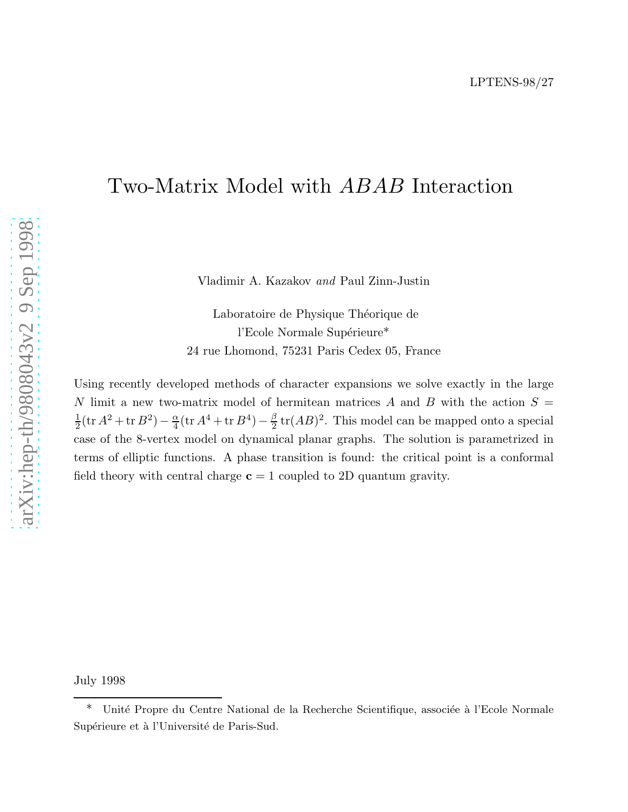# Two-Matrix Model with ABAB Interaction

Vladimir A. Kazakov *and* Paul Zinn-Justin

Laboratoire de Physique Théorique de l'Ecole Normale Supérieure\* 24 rue Lhomond, 75231 Paris Cedex 05, France

Using recently developed methods of character expansions we solve exactly in the large N limit a new two-matrix model of hermitean matrices A and B with the action  $S =$  $\frac{1}{2}(\text{tr}\,A^2 + \text{tr}\,B^2) - \frac{\alpha}{4}$  $\frac{\alpha}{4}$ (tr  $A^4$  + tr  $B^4$ ) –  $\frac{\beta}{2}$  $\frac{\beta}{2}$  tr(*AB*)<sup>2</sup>. This model can be mapped onto a special case of the 8-vertex model on dynamical planar graphs. The solution is parametrized in terms of elliptic functions. A phase transition is found: the critical point is a conformal field theory with central charge  $c = 1$  coupled to 2D quantum gravity.

July 1998

<sup>\*</sup> Unité Propre du Centre National de la Recherche Scientifique, associée à l'Ecole Normale Supérieure et à l'Université de Paris-Sud.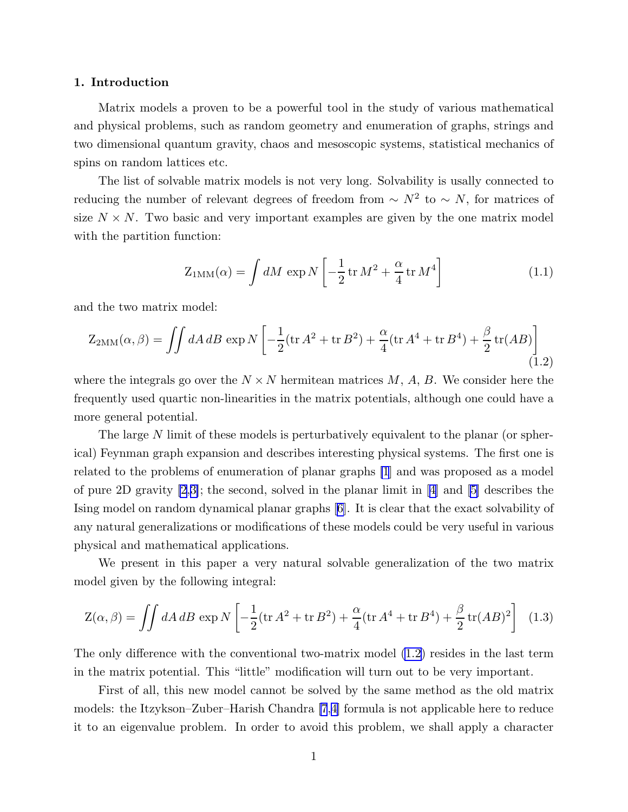#### <span id="page-1-0"></span>1. Introduction

Matrix models a proven to be a powerful tool in the study of various mathematical and physical problems, such as random geometry and enumeration of graphs, strings and two dimensional quantum gravity, chaos and mesoscopic systems, statistical mechanics of spins on random lattices etc.

The list of solvable matrix models is not very long. Solvability is usally connected to reducing the number of relevant degrees of freedom from  $\sim N^2$  to  $\sim N$ , for matrices of size  $N \times N$ . Two basic and very important examples are given by the one matrix model with the partition function:

$$
Z_{1MM}(\alpha) = \int dM \, \exp N \left[ -\frac{1}{2} \operatorname{tr} M^2 + \frac{\alpha}{4} \operatorname{tr} M^4 \right] \tag{1.1}
$$

and the two matrix model:

$$
Z_{2MM}(\alpha, \beta) = \iint dA \, dB \, \exp N \left[ -\frac{1}{2} (\text{tr} \, A^2 + \text{tr} \, B^2) + \frac{\alpha}{4} (\text{tr} \, A^4 + \text{tr} \, B^4) + \frac{\beta}{2} \, \text{tr}(AB) \right] \tag{1.2}
$$

where the integrals go over the  $N \times N$  hermitean matrices M, A, B. We consider here the frequently used quartic non-linearities in the matrix potentials, although one could have a more general potential.

The large N limit of these models is perturbatively equivalent to the planar (or spherical) Feynman graph expansion and describes interesting physical systems. The first one is related to the problems of enumeration of planar graphs [\[1](#page-23-0)] and was proposed as a model of pure 2D gravity [\[2](#page-23-0),[3\]](#page-23-0); the second, solved in the planar limit in[[4](#page-23-0)] and[[5\]](#page-23-0) describes the Ising model on random dynamical planar graphs[[6\]](#page-23-0). It is clear that the exact solvability of any natural generalizations or modifications of these models could be very useful in various physical and mathematical applications.

We present in this paper a very natural solvable generalization of the two matrix model given by the following integral:

$$
Z(\alpha, \beta) = \iint dA \, dB \, \exp N \left[ -\frac{1}{2} (\text{tr} \, A^2 + \text{tr} \, B^2) + \frac{\alpha}{4} (\text{tr} \, A^4 + \text{tr} \, B^4) + \frac{\beta}{2} \, \text{tr} (AB)^2 \right] \tag{1.3}
$$

The only difference with the conventional two-matrix model (1.2) resides in the last term in the matrix potential. This "little" modification will turn out to be very important.

First of all, this new model cannot be solved by the same method as the old matrix models: the Itzykson–Zuber–Harish Chandra [\[7](#page-23-0),[4\]](#page-23-0) formula is not applicable here to reduce it to an eigenvalue problem. In order to avoid this problem, we shall apply a character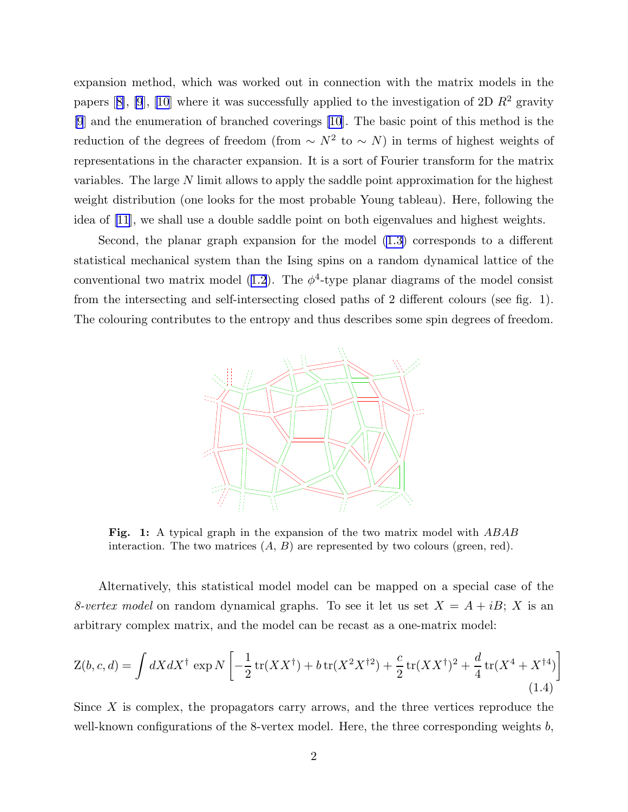<span id="page-2-0"></span>expansion method, which was worked out in connection with the matrix models in the papers[[8\]](#page-23-0), [\[9](#page-23-0)], [\[10](#page-23-0)] where it was successfully applied to the investigation of 2D  $\mathbb{R}^2$  gravity [\[9](#page-23-0)] and the enumeration of branched coverings [\[10](#page-23-0)]. The basic point of this method is the reduction of the degrees of freedom (from  $\sim N^2$  to  $\sim N$ ) in terms of highest weights of representations in the character expansion. It is a sort of Fourier transform for the matrix variables. The large N limit allows to apply the saddle point approximation for the highest weight distribution (one looks for the most probable Young tableau). Here, following the idea of [\[11](#page-23-0)], we shall use a double saddle point on both eigenvalues and highest weights.

Second, the planar graph expansion for the model [\(1.3\)](#page-1-0) corresponds to a different statistical mechanical system than the Ising spins on a random dynamical lattice of the conventionaltwo matrix model ([1.2](#page-1-0)). The  $\phi^4$ -type planar diagrams of the model consist from the intersecting and self-intersecting closed paths of 2 different colours (see fig. 1). The colouring contributes to the entropy and thus describes some spin degrees of freedom.



Fig. 1: A typical graph in the expansion of the two matrix model with ABAB interaction. The two matrices  $(A, B)$  are represented by two colours (green, red).

Alternatively, this statistical model model can be mapped on a special case of the *8-vertex model* on random dynamical graphs. To see it let us set  $X = A + iB$ ; X is an arbitrary complex matrix, and the model can be recast as a one-matrix model:

$$
Z(b, c, d) = \int dX dX^{\dagger} \exp N \left[ -\frac{1}{2} \operatorname{tr}(XX^{\dagger}) + b \operatorname{tr}(X^2 X^{\dagger 2}) + \frac{c}{2} \operatorname{tr}(XX^{\dagger})^2 + \frac{d}{4} \operatorname{tr}(X^4 + X^{\dagger 4}) \right]
$$
\n(1.4)

Since  $X$  is complex, the propagators carry arrows, and the three vertices reproduce the well-known configurations of the 8-vertex model. Here, the three corresponding weights  $b$ ,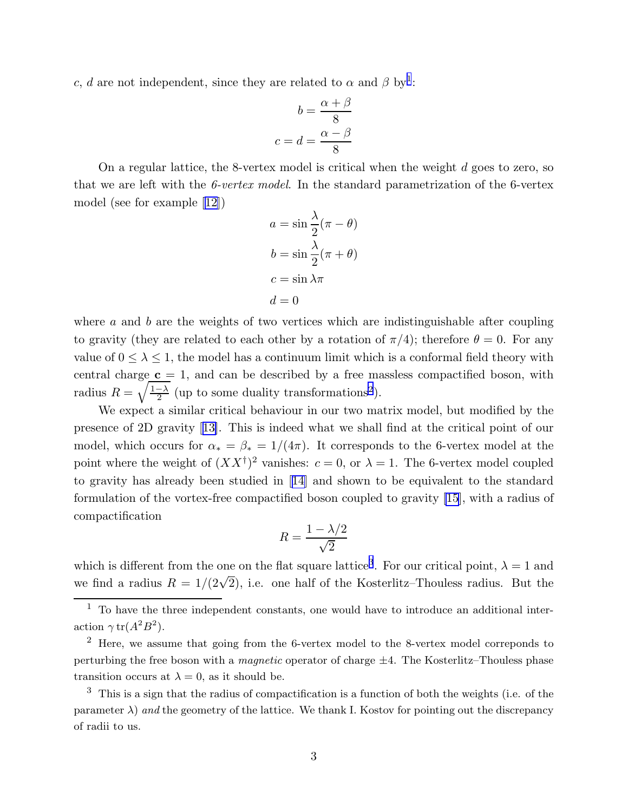c, d are not independent, since they are related to  $\alpha$  and  $\beta$  by<sup>1</sup>:

$$
b = \frac{\alpha + \beta}{8}
$$

$$
c = d = \frac{\alpha - \beta}{8}
$$

On a regular lattice, the 8-vertex model is critical when the weight  $d$  goes to zero, so that we are left with the *6-vertex model*. In the standard parametrization of the 6-vertex model (see for example[[12](#page-23-0)])

$$
a = \sin \frac{\lambda}{2} (\pi - \theta)
$$

$$
b = \sin \frac{\lambda}{2} (\pi + \theta)
$$

$$
c = \sin \lambda \pi
$$

$$
d = 0
$$

where  $\alpha$  and  $\dot{\beta}$  are the weights of two vertices which are indistinguishable after coupling to gravity (they are related to each other by a rotation of  $\pi/4$ ); therefore  $\theta = 0$ . For any value of  $0 \leq \lambda \leq 1$ , the model has a continuum limit which is a conformal field theory with central charge  $c = 1$ , and can be described by a free massless compactified boson, with radius  $R = \sqrt{\frac{1-\lambda}{2}}$  (up to some duality transformations<sup>2</sup>).

We expect a similar critical behaviour in our two matrix model, but modified by the presence of 2D gravity[[13\]](#page-23-0). This is indeed what we shall find at the critical point of our model, which occurs for  $\alpha_* = \beta_* = 1/(4\pi)$ . It corresponds to the 6-vertex model at the point where the weight of  $(XX^{\dagger})^2$  vanishes:  $c = 0$ , or  $\lambda = 1$ . The 6-vertex model coupled to gravity has already been studied in[[14\]](#page-23-0) and shown to be equivalent to the standard formulation of the vortex-free compactified boson coupled to gravity [\[15](#page-23-0)], with a radius of compactification

$$
R = \frac{1 - \lambda/2}{\sqrt{2}}
$$

which is different from the one on the flat square lattice<sup>3</sup>. For our critical point,  $\lambda = 1$  and we find a radius  $R = 1/(2\sqrt{2})$ , i.e. one half of the Kosterlitz–Thouless radius. But the

 $2$  Here, we assume that going from the 6-vertex model to the 8-vertex model correponds to perturbing the free boson with a *magnetic* operator of charge  $\pm 4$ . The Kosterlitz–Thouless phase transition occurs at  $\lambda = 0$ , as it should be.

 $3$  This is a sign that the radius of compactification is a function of both the weights (i.e. of the parameter  $\lambda$ ) and the geometry of the lattice. We thank I. Kostov for pointing out the discrepancy of radii to us.

 $<sup>1</sup>$  To have the three independent constants, one would have to introduce an additional inter-</sup> action  $\gamma \text{ tr}(A^2B^2)$ .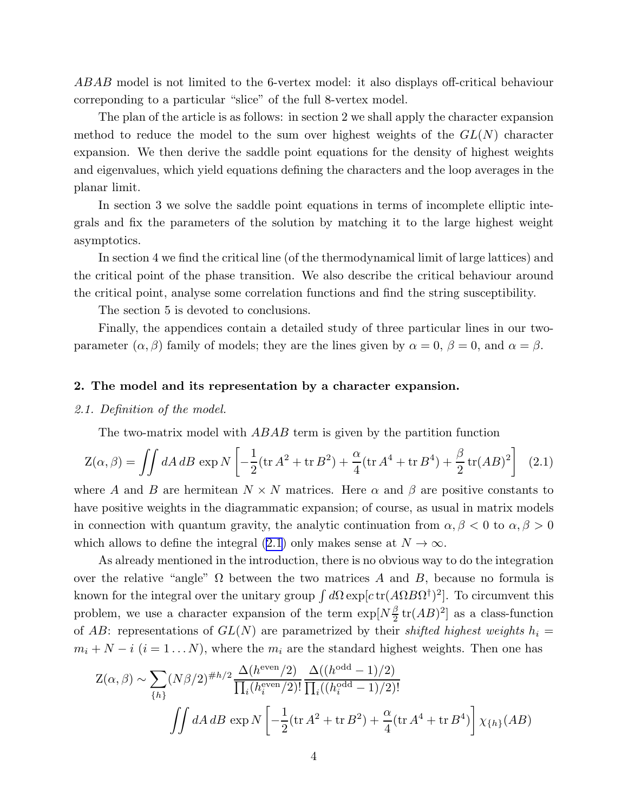ABAB model is not limited to the 6-vertex model: it also displays off-critical behaviour correponding to a particular "slice" of the full 8-vertex model.

The plan of the article is as follows: in section 2 we shall apply the character expansion method to reduce the model to the sum over highest weights of the  $GL(N)$  character expansion. We then derive the saddle point equations for the density of highest weights and eigenvalues, which yield equations defining the characters and the loop averages in the planar limit.

In section 3 we solve the saddle point equations in terms of incomplete elliptic integrals and fix the parameters of the solution by matching it to the large highest weight asymptotics.

In section 4 we find the critical line (of the thermodynamical limit of large lattices) and the critical point of the phase transition. We also describe the critical behaviour around the critical point, analyse some correlation functions and find the string susceptibility.

The section 5 is devoted to conclusions.

Finally, the appendices contain a detailed study of three particular lines in our twoparameter  $(\alpha, \beta)$  family of models; they are the lines given by  $\alpha = 0$ ,  $\beta = 0$ , and  $\alpha = \beta$ .

#### 2. The model and its representation by a character expansion.

#### *2.1. Definition of the model.*

The two-matrix model with *ABAB* term is given by the partition function

$$
Z(\alpha, \beta) = \iint dA \, dB \, \exp N \left[ -\frac{1}{2} (\text{tr} \, A^2 + \text{tr} \, B^2) + \frac{\alpha}{4} (\text{tr} \, A^4 + \text{tr} \, B^4) + \frac{\beta}{2} \, \text{tr} (A B)^2 \right] \tag{2.1}
$$

where A and B are hermitean  $N \times N$  matrices. Here  $\alpha$  and  $\beta$  are positive constants to have positive weights in the diagrammatic expansion; of course, as usual in matrix models in connection with quantum gravity, the analytic continuation from  $\alpha, \beta < 0$  to  $\alpha, \beta > 0$ which allows to define the integral (2.1) only makes sense at  $N \to \infty$ .

As already mentioned in the introduction, there is no obvious way to do the integration over the relative "angle"  $\Omega$  between the two matrices A and B, because no formula is known for the integral over the unitary group  $\int d\Omega \exp[ctr(A\Omega B\Omega^{\dagger})^2]$ . To circumvent this problem, we use a character expansion of the term  $\exp[N\frac{\beta}{2}]$  $\frac{\beta}{2}$ tr $(AB)^2$ ] as a class-function of AB: representations of  $GL(N)$  are parametrized by their *shifted highest weights*  $h_i =$  $m_i + N - i$  ( $i = 1...N$ ), where the  $m_i$  are the standard highest weights. Then one has

$$
Z(\alpha, \beta) \sim \sum_{\{h\}} (N\beta/2)^{\#h/2} \frac{\Delta(h^{\text{even}}/2)}{\prod_{i} (h_i^{\text{even}}/2)!} \frac{\Delta((h^{\text{odd}} - 1)/2)}{\prod_{i} ((h_i^{\text{odd}} - 1)/2)!}
$$

$$
\iint dA \, dB \, \exp N\left[ -\frac{1}{2} (\text{tr}\,A^2 + \text{tr}\,B^2) + \frac{\alpha}{4} (\text{tr}\,A^4 + \text{tr}\,B^4) \right] \chi_{\{h\}}(AB)
$$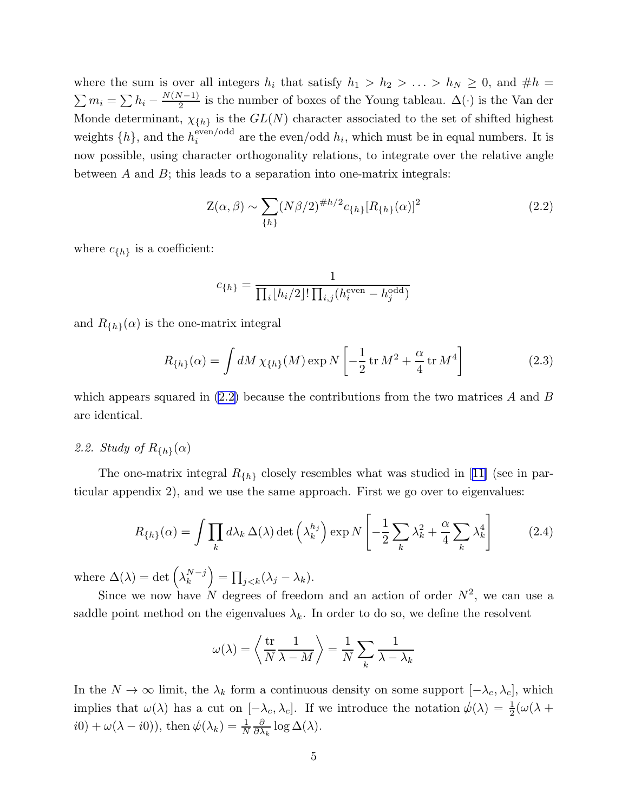<span id="page-5-0"></span>where the sum is over all integers  $h_i$  that satisfy  $h_1 > h_2 > \ldots > h_N \geq 0$ , and  $\# h =$  $\sum m_i = \sum h_i - \frac{N(N-1)}{2}$  is the number of boxes of the Young tableau.  $\Delta(\cdot)$  is the Van der Monde determinant,  $\chi_{\{h\}}$  is the  $GL(N)$  character associated to the set of shifted highest weights  $\{h\}$ , and the  $h_i^{\text{even}/\text{odd}}$  $i$ <sup>even/odd</sup> are the even/odd  $h_i$ , which must be in equal numbers. It is now possible, using character orthogonality relations, to integrate over the relative angle between  $A$  and  $B$ ; this leads to a separation into one-matrix integrals:

$$
Z(\alpha, \beta) \sim \sum_{\{h\}} (N\beta/2)^{\#h/2} c_{\{h\}} [R_{\{h\}}(\alpha)]^2
$$
 (2.2)

where  $c_{\{h\}}$  is a coefficient:

$$
c_{\{h\}} = \frac{1}{\prod_{i} \lfloor h_i/2 \rfloor! \prod_{i,j} (h_i^{\text{even}} - h_j^{\text{odd}})}
$$

and  $R_{\{h\}}(\alpha)$  is the one-matrix integral

$$
R_{\{h\}}(\alpha) = \int dM \,\chi_{\{h\}}(M) \exp N \left[ -\frac{1}{2} \operatorname{tr} M^2 + \frac{\alpha}{4} \operatorname{tr} M^4 \right] \tag{2.3}
$$

which appears squared in  $(2.2)$  because the contributions from the two matrices A and B are identical.

# 2.2. Study of  $R_{\{h\}}(\alpha)$

Theone-matrix integral  $R_{\{h\}}$  closely resembles what was studied in [[11\]](#page-23-0) (see in particular appendix 2), and we use the same approach. First we go over to eigenvalues:

$$
R_{\{h\}}(\alpha) = \int \prod_k d\lambda_k \,\Delta(\lambda) \det \left(\lambda_k^{h_j}\right) \exp N\left[-\frac{1}{2} \sum_k \lambda_k^2 + \frac{\alpha}{4} \sum_k \lambda_k^4\right] \tag{2.4}
$$

where  $\Delta(\lambda) = \det \left( \lambda_k^{N-j} \right) = \prod_{j < k} (\lambda_j - \lambda_k).$ 

Since we now have N degrees of freedom and an action of order  $N^2$ , we can use a saddle point method on the eigenvalues  $\lambda_k$ . In order to do so, we define the resolvent

$$
\omega(\lambda) = \left\langle \frac{\text{tr}}{N} \frac{1}{\lambda - M} \right\rangle = \frac{1}{N} \sum_{k} \frac{1}{\lambda - \lambda_k}
$$

In the  $N \to \infty$  limit, the  $\lambda_k$  form a continuous density on some support  $[-\lambda_c, \lambda_c]$ , which implies that  $\omega(\lambda)$  has a cut on  $[-\lambda_c, \lambda_c]$ . If we introduce the notation  $\psi(\lambda) = \frac{1}{2}(\omega(\lambda +$  $i0) + \omega(\lambda - i0)$ , then  $\psi(\lambda_k) = \frac{1}{N}$ ∂  $\frac{\partial}{\partial \lambda_k} \log \Delta(\lambda)$ .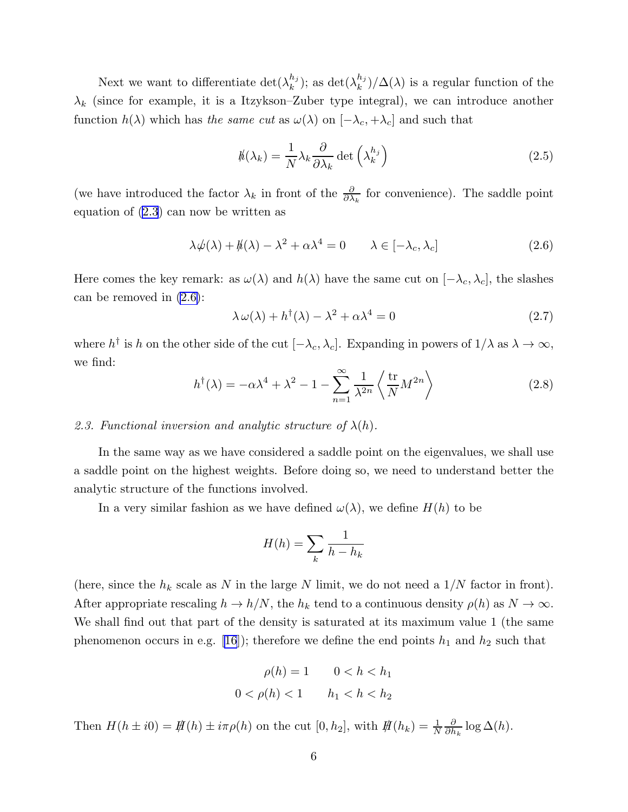<span id="page-6-0"></span>Next we want to differentiate  $\det(\lambda_k^{h_j})$  $\binom{h_j}{k}$ ; as det $(\lambda_k^{h_j})$  $\binom{n_j}{k}/\Delta(\lambda)$  is a regular function of the  $\lambda_k$  (since for example, it is a Itzykson–Zuber type integral), we can introduce another function  $h(\lambda)$  which has *the same cut* as  $\omega(\lambda)$  on  $[-\lambda_c, +\lambda_c]$  and such that

$$
h(\lambda_k) = \frac{1}{N} \lambda_k \frac{\partial}{\partial \lambda_k} \det \left( \lambda_k^{h_j} \right)
$$
 (2.5)

(we have introduced the factor  $\lambda_k$  in front of the  $\frac{\partial}{\partial \lambda_k}$  for convenience). The saddle point equation of [\(2.3](#page-5-0)) can now be written as

$$
\lambda \psi(\lambda) + \mathcal{h}(\lambda) - \lambda^2 + \alpha \lambda^4 = 0 \qquad \lambda \in [-\lambda_c, \lambda_c]
$$
 (2.6)

Here comes the key remark: as  $\omega(\lambda)$  and  $h(\lambda)$  have the same cut on  $[-\lambda_c, \lambda_c]$ , the slashes can be removed in (2.6):

$$
\lambda \,\omega(\lambda) + h^{\dagger}(\lambda) - \lambda^2 + \alpha \lambda^4 = 0 \tag{2.7}
$$

where  $h^{\dagger}$  is h on the other side of the cut  $[-\lambda_c, \lambda_c]$ . Expanding in powers of  $1/\lambda$  as  $\lambda \to \infty$ , we find:

$$
h^{\dagger}(\lambda) = -\alpha \lambda^4 + \lambda^2 - 1 - \sum_{n=1}^{\infty} \frac{1}{\lambda^{2n}} \left\langle \frac{\text{tr}}{N} M^{2n} \right\rangle \tag{2.8}
$$

## 2.3. Functional inversion and analytic structure of  $\lambda(h)$ .

In the same way as we have considered a saddle point on the eigenvalues, we shall use a saddle point on the highest weights. Before doing so, we need to understand better the analytic structure of the functions involved.

In a very similar fashion as we have defined  $\omega(\lambda)$ , we define  $H(h)$  to be

$$
H(h) = \sum_{k} \frac{1}{h - h_k}
$$

(here, since the  $h_k$  scale as N in the large N limit, we do not need a  $1/N$  factor in front). After appropriate rescaling  $h \to h/N$ , the  $h_k$  tend to a continuous density  $\rho(h)$  as  $N \to \infty$ . We shall find out that part of the density is saturated at its maximum value 1 (the same phenomenon occurs in e.g. [\[16](#page-23-0)]); therefore we define the end points  $h_1$  and  $h_2$  such that

$$
\rho(h) = 1 \qquad 0 < h < h_1
$$
\n
$$
0 < \rho(h) < 1 \qquad h_1 < h < h_2
$$

Then  $H(h \pm i0) = \frac{\text{H}}{\text{H}}(h) \pm i\pi\rho(h)$  on the cut  $[0, h_2]$ , with  $\frac{\text{H}}{\text{H}}(h_k) = \frac{1}{N}$ ∂  $\frac{\partial}{\partial h_k} \log \Delta(h)$ .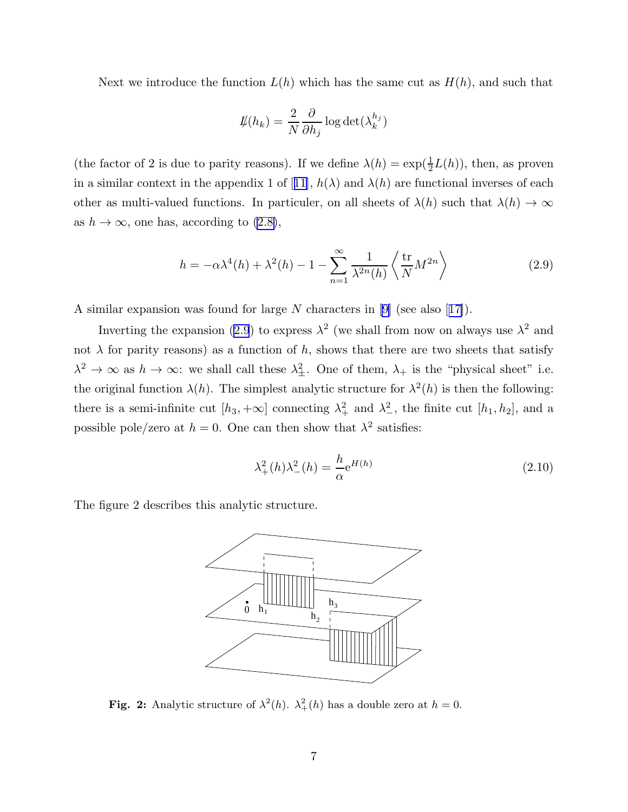<span id="page-7-0"></span>Next we introduce the function  $L(h)$  which has the same cut as  $H(h)$ , and such that

$$
\displaystyle{\not}L(h_k)=\frac{2}{N}\frac{\partial}{\partial h_j}\log\det(\lambda_k^{h_j})
$$

(the factor of 2 is due to parity reasons). If we define  $\lambda(h) = \exp(\frac{1}{2}L(h))$ , then, as proven ina similar context in the appendix 1 of [[11\]](#page-23-0),  $h(\lambda)$  and  $\lambda(h)$  are functional inverses of each other as multi-valued functions. In particuler, on all sheets of  $\lambda(h)$  such that  $\lambda(h) \to \infty$ as  $h \to \infty$ , one has, according to  $(2.8)$ ,

$$
h = -\alpha \lambda^4(h) + \lambda^2(h) - 1 - \sum_{n=1}^{\infty} \frac{1}{\lambda^{2n}(h)} \left\langle \frac{\text{tr}}{N} M^{2n} \right\rangle \tag{2.9}
$$

A similar expansion was found for large N characters in[[9\]](#page-23-0) (see also[[17\]](#page-23-0)).

Inverting the expansion (2.9) to express  $\lambda^2$  (we shall from now on always use  $\lambda^2$  and not  $\lambda$  for parity reasons) as a function of h, shows that there are two sheets that satisfy  $\lambda^2 \to \infty$  as  $h \to \infty$ : we shall call these  $\lambda_{\pm}^2$ . One of them,  $\lambda_+$  is the "physical sheet" i.e. the original function  $\lambda(h)$ . The simplest analytic structure for  $\lambda^2(h)$  is then the following: there is a semi-infinite cut  $[h_3, +\infty]$  connecting  $\lambda_+^2$  and  $\lambda_-^2$ , the finite cut  $[h_1, h_2]$ , and a possible pole/zero at  $h = 0$ . One can then show that  $\lambda^2$  satisfies:

$$
\lambda_+^2(h)\lambda_-^2(h) = \frac{h}{\alpha}e^{H(h)}\tag{2.10}
$$

The figure 2 describes this analytic structure.



**Fig. 2:** Analytic structure of  $\lambda^2(h)$ .  $\lambda^2_+(h)$  has a double zero at  $h = 0$ .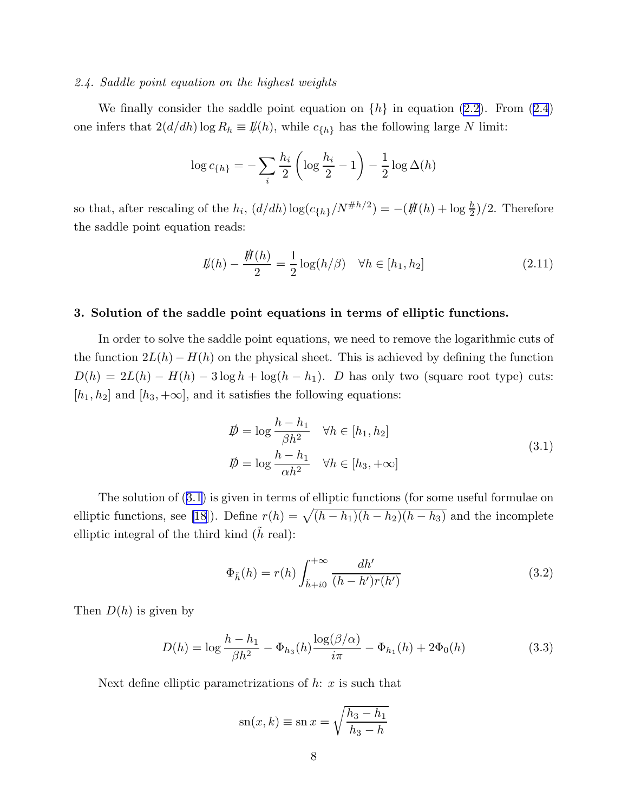# <span id="page-8-0"></span>*2.4. Saddle point equation on the highest weights*

We finally consider the saddle point equation on  $\{h\}$  in equation [\(2.2\)](#page-5-0). From [\(2.4](#page-5-0)) one infers that  $2(d/dh) \log R_h \equiv \mathcal{I}(h)$ , while  $c_{\{h\}}$  has the following large N limit:

$$
\log c_{\{h\}} = -\sum_{i} \frac{h_i}{2} \left( \log \frac{h_i}{2} - 1 \right) - \frac{1}{2} \log \Delta(h)
$$

so that, after rescaling of the  $h_i$ ,  $(d/dh) \log(c_{\{h\}}/N^{\#h/2}) = -(\frac{H(h) + \log \frac{h}{2}}{2})/2$ . Therefore the saddle point equation reads:

$$
\mathcal{L}(h) - \frac{\mathcal{H}(h)}{2} = \frac{1}{2}\log(h/\beta) \quad \forall h \in [h_1, h_2]
$$
\n(2.11)

#### 3. Solution of the saddle point equations in terms of elliptic functions.

In order to solve the saddle point equations, we need to remove the logarithmic cuts of the function  $2L(h) - H(h)$  on the physical sheet. This is achieved by defining the function  $D(h) = 2L(h) - H(h) - 3\log h + \log(h - h_1)$ . D has only two (square root type) cuts:  $[h_1, h_2]$  and  $[h_3, +\infty]$ , and it satisfies the following equations:

$$
\begin{aligned}\n\vec{p} &= \log \frac{h - h_1}{\beta h^2} \quad \forall h \in [h_1, h_2] \\
\vec{p} &= \log \frac{h - h_1}{\alpha h^2} \quad \forall h \in [h_3, +\infty]\n\end{aligned} \tag{3.1}
$$

The solution of (3.1) is given in terms of elliptic functions (for some useful formulae on elliptic functions, see [\[18](#page-23-0)]). Define  $r(h) = \sqrt{(h - h_1)(h - h_2)(h - h_3)}$  and the incomplete elliptic integral of the third kind  $(h \text{ real})$ :

$$
\Phi_{\tilde{h}}(h) = r(h) \int_{\tilde{h}+i0}^{+\infty} \frac{dh'}{(h-h')r(h')}
$$
\n(3.2)

Then  $D(h)$  is given by

$$
D(h) = \log \frac{h - h_1}{\beta h^2} - \Phi_{h_3}(h) \frac{\log(\beta/\alpha)}{i\pi} - \Phi_{h_1}(h) + 2\Phi_0(h)
$$
 (3.3)

Next define elliptic parametrizations of  $h: x$  is such that

$$
sn(x, k) \equiv sn x = \sqrt{\frac{h_3 - h_1}{h_3 - h}}
$$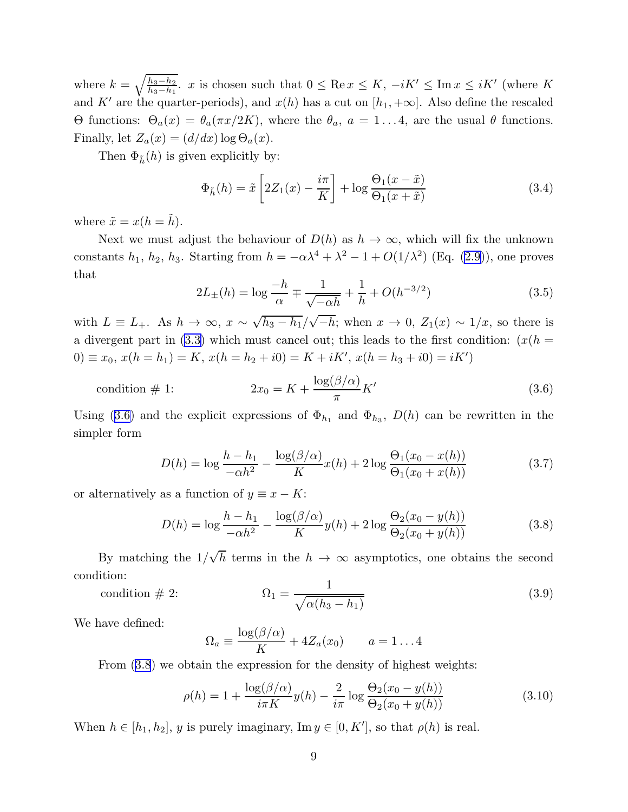<span id="page-9-0"></span>where  $k = \sqrt{\frac{h_3 - h_2}{h_3 - h_1}}$  $\frac{h_3-h_2}{h_3-h_1}$ , x is chosen such that  $0 \le \text{Re } x \le K$ ,  $-iK' \le \text{Im } x \le iK'$  (where K and K' are the quarter-periods), and  $x(h)$  has a cut on  $[h_1, +\infty]$ . Also define the rescaled Θ functions:  $Θ_a(x) = θ_a(\pi x/2K)$ , where the  $θ_a$ ,  $a = 1...4$ , are the usual θ functions. Finally, let  $Z_a(x) = (d/dx) \log \Theta_a(x)$ .

Then  $\Phi_{\tilde{h}}(h)$  is given explicitly by:

$$
\Phi_{\tilde{h}}(h) = \tilde{x} \left[ 2Z_1(x) - \frac{i\pi}{K} \right] + \log \frac{\Theta_1(x - \tilde{x})}{\Theta_1(x + \tilde{x})}
$$
\n(3.4)

where  $\tilde{x} = x(h = \tilde{h})$ .

Next we must adjust the behaviour of  $D(h)$  as  $h \to \infty$ , which will fix the unknown constants  $h_1$ ,  $h_2$ ,  $h_3$ . Starting from  $h = -\alpha \lambda^4 + \lambda^2 - 1 + O(1/\lambda^2)$  (Eq. [\(2.9\)](#page-7-0)), one proves that

$$
2L_{\pm}(h) = \log \frac{-h}{\alpha} \mp \frac{1}{\sqrt{-\alpha h}} + \frac{1}{h} + O(h^{-3/2})
$$
\n(3.5)

with  $L \equiv L_+$ . As  $h \to \infty$ ,  $x \sim \sqrt{h_3 - h_1}/\sqrt{-h}$ ; when  $x \to 0$ ,  $Z_1(x) \sim 1/x$ , so there is a divergent part in [\(3.3\)](#page-8-0) which must cancel out; this leads to the first condition:  $(x(h =$  $(0) \equiv x_0, x(h = h_1) = K, x(h = h_2 + i0) = K + iK', x(h = h_3 + i0) = iK'$ 

$$
\text{condition} \# 1: \qquad 2x_0 = K + \frac{\log(\beta/\alpha)}{\pi} K' \tag{3.6}
$$

Using (3.6) and the explicit expressions of  $\Phi_{h_1}$  and  $\Phi_{h_3}$ ,  $D(h)$  can be rewritten in the simpler form

$$
D(h) = \log \frac{h - h_1}{-\alpha h^2} - \frac{\log(\beta/\alpha)}{K} x(h) + 2 \log \frac{\Theta_1(x_0 - x(h))}{\Theta_1(x_0 + x(h))}
$$
(3.7)

or alternatively as a function of  $y \equiv x - K$ :

$$
D(h) = \log \frac{h - h_1}{-\alpha h^2} - \frac{\log(\beta/\alpha)}{K} y(h) + 2 \log \frac{\Theta_2(x_0 - y(h))}{\Theta_2(x_0 + y(h))}
$$
(3.8)

By matching the  $1/\sqrt{h}$  terms in the  $h \to \infty$  asymptotics, one obtains the second condition:

$$
\text{condition} \# 2: \qquad \qquad \Omega_1 = \frac{1}{\sqrt{\alpha(h_3 - h_1)}} \tag{3.9}
$$

We have defined:

$$
\Omega_a \equiv \frac{\log(\beta/\alpha)}{K} + 4Z_a(x_0) \qquad a = 1 \dots 4
$$

From (3.8) we obtain the expression for the density of highest weights:

$$
\rho(h) = 1 + \frac{\log(\beta/\alpha)}{i\pi K} y(h) - \frac{2}{i\pi} \log \frac{\Theta_2(x_0 - y(h))}{\Theta_2(x_0 + y(h))}
$$
(3.10)

When  $h \in [h_1, h_2], y$  is purely imaginary,  $\text{Im } y \in [0, K'],$  so that  $\rho(h)$  is real.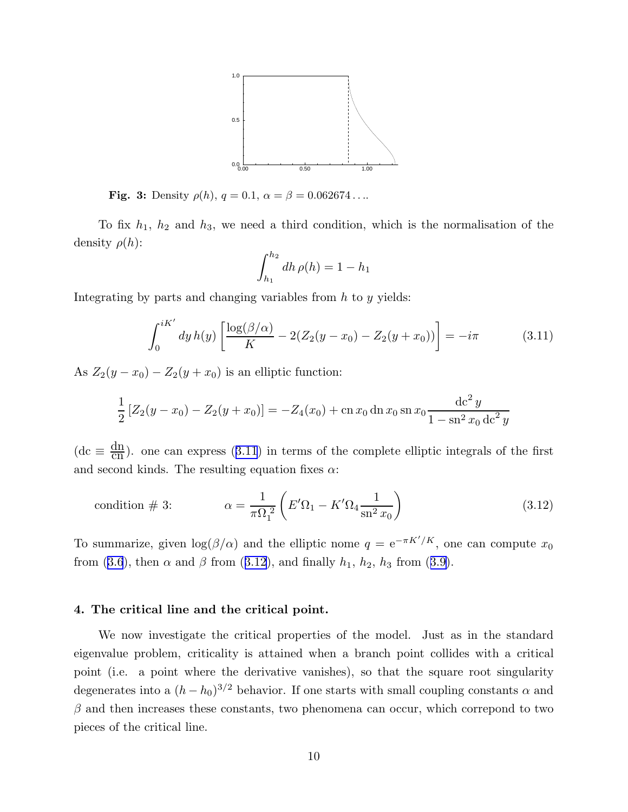

<span id="page-10-0"></span>**Fig. 3:** Density  $\rho(h)$ ,  $q = 0.1$ ,  $\alpha = \beta = 0.062674...$ 

To fix  $h_1$ ,  $h_2$  and  $h_3$ , we need a third condition, which is the normalisation of the density  $\rho(h)$ :

$$
\int_{h_1}^{h_2} dh \, \rho(h) = 1 - h_1
$$

Integrating by parts and changing variables from  $h$  to  $y$  yields:

$$
\int_0^{iK'} dy \, h(y) \left[ \frac{\log(\beta/\alpha)}{K} - 2(Z_2(y - x_0) - Z_2(y + x_0)) \right] = -i\pi \tag{3.11}
$$

As  $Z_2(y-x_0) - Z_2(y+x_0)$  is an elliptic function:

$$
\frac{1}{2} [Z_2(y - x_0) - Z_2(y + x_0)] = -Z_4(x_0) + \operatorname{cn} x_0 \operatorname{dn} x_0 \operatorname{sn} x_0 \frac{\operatorname{dc}^2 y}{1 - \operatorname{sn}^2 x_0 \operatorname{dc}^2 y}
$$

(dc  $\equiv \frac{dn}{cn}$ ). one can express (3.11) in terms of the complete elliptic integrals of the first and second kinds. The resulting equation fixes  $\alpha$ :

$$
\text{condition} \# 3: \qquad \alpha = \frac{1}{\pi \Omega_1^2} \left( E' \Omega_1 - K' \Omega_4 \frac{1}{\text{sn}^2 x_0} \right) \tag{3.12}
$$

To summarize, given  $\log(\beta/\alpha)$  and the elliptic nome  $q = e^{-\pi K'/K}$ , one can compute  $x_0$ from([3.6](#page-9-0)), then  $\alpha$  and  $\beta$  from (3.12), and finally  $h_1$ ,  $h_2$ ,  $h_3$  from ([3.9\)](#page-9-0).

#### 4. The critical line and the critical point.

We now investigate the critical properties of the model. Just as in the standard eigenvalue problem, criticality is attained when a branch point collides with a critical point (i.e. a point where the derivative vanishes), so that the square root singularity degenerates into a  $(h - h_0)^{3/2}$  behavior. If one starts with small coupling constants  $\alpha$  and  $\beta$  and then increases these constants, two phenomena can occur, which correspond to two pieces of the critical line.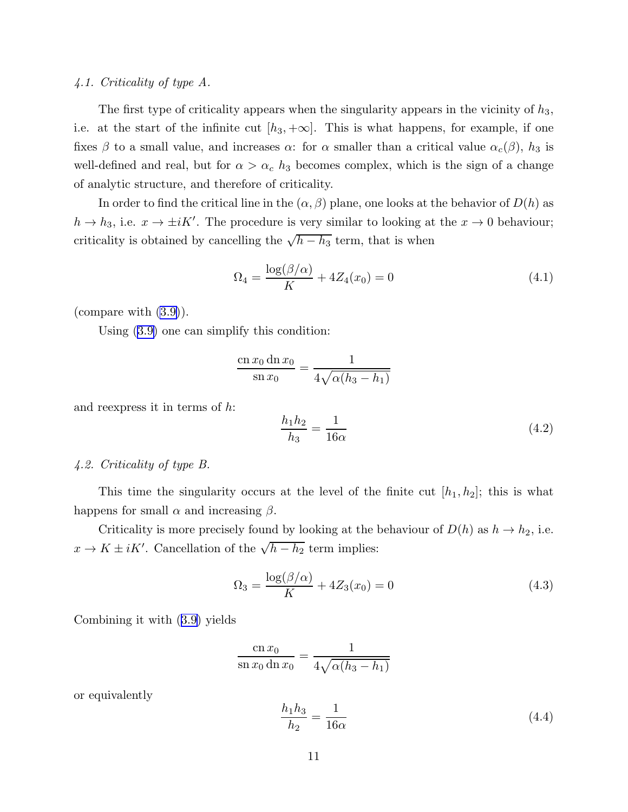## <span id="page-11-0"></span>*4.1. Criticality of type A.*

The first type of criticality appears when the singularity appears in the vicinity of  $h_3$ , i.e. at the start of the infinite cut  $[h_3, +\infty]$ . This is what happens, for example, if one fixes  $\beta$  to a small value, and increases  $\alpha$ : for  $\alpha$  smaller than a critical value  $\alpha_c(\beta)$ ,  $h_3$  is well-defined and real, but for  $\alpha > \alpha_c$  h<sub>3</sub> becomes complex, which is the sign of a change of analytic structure, and therefore of criticality.

In order to find the critical line in the  $(\alpha, \beta)$  plane, one looks at the behavior of  $D(h)$  as  $h \to h_3$ , i.e.  $x \to \pm iK'$ . The procedure is very similar to looking at the  $x \to 0$  behaviour; criticality is obtained by cancelling the  $\sqrt{h-h_3}$  term, that is when

$$
\Omega_4 = \frac{\log(\beta/\alpha)}{K} + 4Z_4(x_0) = 0\tag{4.1}
$$

(compare with [\(3.9\)](#page-9-0)).

Using [\(3.9\)](#page-9-0) one can simplify this condition:

$$
\frac{\operatorname{cn} x_0 \operatorname{dn} x_0}{\operatorname{sn} x_0} = \frac{1}{4\sqrt{\alpha(h_3 - h_1)}}
$$

and reexpress it in terms of h:

$$
\frac{h_1 h_2}{h_3} = \frac{1}{16\alpha} \tag{4.2}
$$

## *4.2. Criticality of type B.*

This time the singularity occurs at the level of the finite cut  $[h_1, h_2]$ ; this is what happens for small  $\alpha$  and increasing  $\beta$ .

Criticality is more precisely found by looking at the behaviour of  $D(h)$  as  $h \to h_2$ , i.e.  $x \to K \pm iK'$ . Cancellation of the  $\sqrt{h - h_2}$  term implies:

$$
\Omega_3 = \frac{\log(\beta/\alpha)}{K} + 4Z_3(x_0) = 0
$$
\n(4.3)

Combining it with([3.9](#page-9-0)) yields

$$
\frac{\operatorname{cn} x_0}{\operatorname{sn} x_0 \operatorname{dn} x_0} = \frac{1}{4\sqrt{\alpha(h_3 - h_1)}}
$$

or equivalently

$$
\frac{h_1 h_3}{h_2} = \frac{1}{16\alpha} \tag{4.4}
$$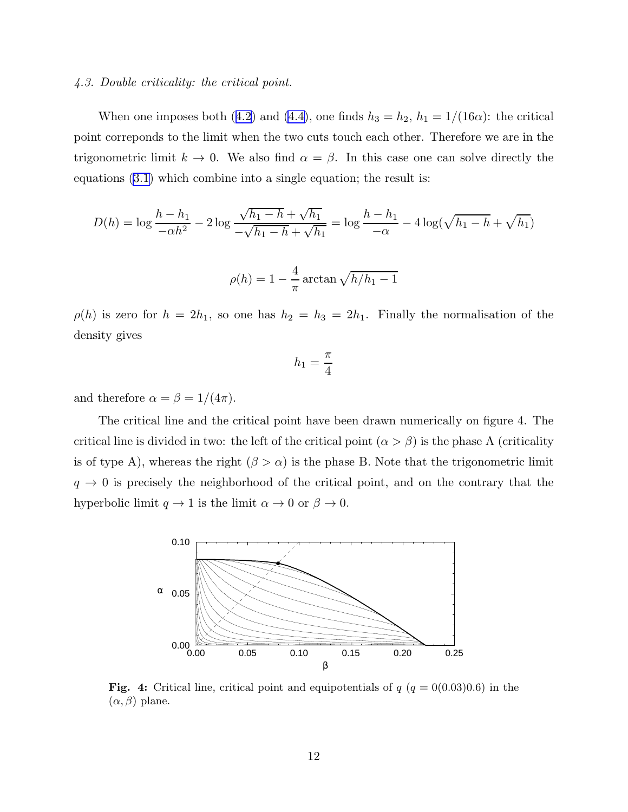#### *4.3. Double criticality: the critical point.*

Whenone imposes both ([4.2](#page-11-0)) and [\(4.4\)](#page-11-0), one finds  $h_3 = h_2$ ,  $h_1 = 1/(16\alpha)$ : the critical point correponds to the limit when the two cuts touch each other. Therefore we are in the trigonometric limit  $k \to 0$ . We also find  $\alpha = \beta$ . In this case one can solve directly the equations [\(3.1\)](#page-8-0) which combine into a single equation; the result is:

$$
D(h) = \log \frac{h - h_1}{-\alpha h^2} - 2 \log \frac{\sqrt{h_1 - h} + \sqrt{h_1}}{-\sqrt{h_1 - h} + \sqrt{h_1}} = \log \frac{h - h_1}{-\alpha} - 4 \log(\sqrt{h_1 - h} + \sqrt{h_1})
$$

$$
\rho(h) = 1 - \frac{4}{\pi} \arctan\sqrt{h/h_1 - 1}
$$

 $\rho(h)$  is zero for  $h = 2h_1$ , so one has  $h_2 = h_3 = 2h_1$ . Finally the normalisation of the density gives

$$
h_1 = \frac{\pi}{4}
$$

and therefore  $\alpha = \beta = 1/(4\pi)$ .

The critical line and the critical point have been drawn numerically on figure 4. The critical line is divided in two: the left of the critical point  $(\alpha > \beta)$  is the phase A (criticality is of type A), whereas the right  $(\beta > \alpha)$  is the phase B. Note that the trigonometric limit  $q \rightarrow 0$  is precisely the neighborhood of the critical point, and on the contrary that the hyperbolic limit  $q \to 1$  is the limit  $\alpha \to 0$  or  $\beta \to 0$ .



Fig. 4: Critical line, critical point and equipotentials of  $q$  ( $q = 0(0.03)0.6$ ) in the  $(\alpha, \beta)$  plane.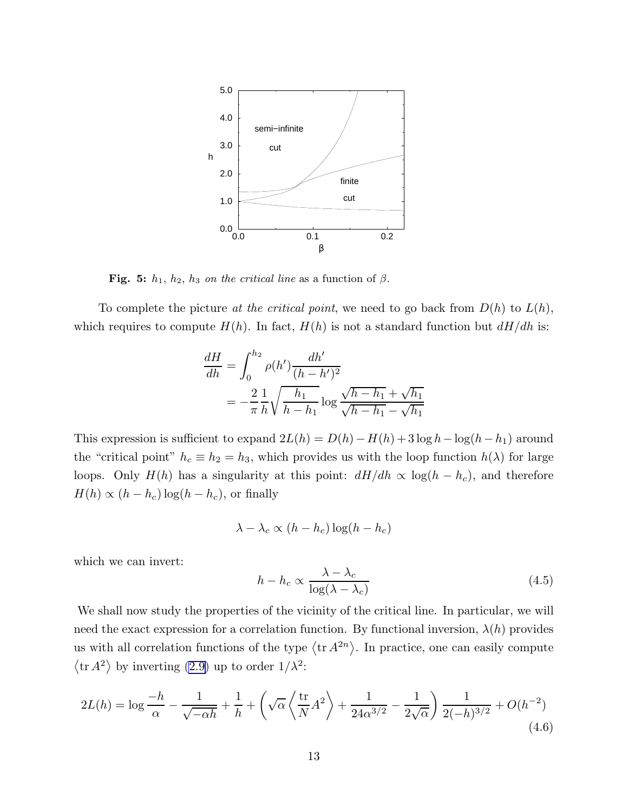<span id="page-13-0"></span>

Fig. 5:  $h_1$ ,  $h_2$ ,  $h_3$  on the critical line as a function of  $\beta$ .

To complete the picture *at the critical point*, we need to go back from D(h) to L(h), which requires to compute  $H(h)$ . In fact,  $H(h)$  is not a standard function but  $dH/dh$  is:

$$
\frac{dH}{dh} = \int_0^{h_2} \rho(h') \frac{dh'}{(h - h')^2} \n= -\frac{2}{\pi} \frac{1}{h} \sqrt{\frac{h_1}{h - h_1}} \log \frac{\sqrt{h - h_1} + \sqrt{h_1}}{\sqrt{h - h_1} - \sqrt{h_1}}
$$

This expression is sufficient to expand  $2L(h) = D(h) - H(h) + 3 \log h - \log(h-h_1)$  around the "critical point"  $h_c \equiv h_2 = h_3$ , which provides us with the loop function  $h(\lambda)$  for large loops. Only  $H(h)$  has a singularity at this point:  $dH/dh \propto \log(h - h_c)$ , and therefore  $H(h) \propto (h - h_c) \log(h - h_c)$ , or finally

$$
\lambda - \lambda_c \propto (h - h_c) \log(h - h_c)
$$

which we can invert:

$$
h - h_c \propto \frac{\lambda - \lambda_c}{\log(\lambda - \lambda_c)}
$$
\n(4.5)

We shall now study the properties of the vicinity of the critical line. In particular, we will need the exact expression for a correlation function. By functional inversion,  $\lambda(h)$  provides us with all correlation functions of the type  $\langle \text{tr } A^{2n} \rangle$ . In practice, one can easily compute  $\langle \text{tr } A^2 \rangle$  by inverting [\(2.9\)](#page-7-0) up to order  $1/\lambda^2$ :

$$
2L(h) = \log \frac{-h}{\alpha} - \frac{1}{\sqrt{-\alpha h}} + \frac{1}{h} + \left(\sqrt{\alpha} \left\langle \frac{\text{tr}}{N} A^2 \right\rangle + \frac{1}{24\alpha^{3/2}} - \frac{1}{2\sqrt{\alpha}}\right) \frac{1}{2(-h)^{3/2}} + O(h^{-2})
$$
\n(4.6)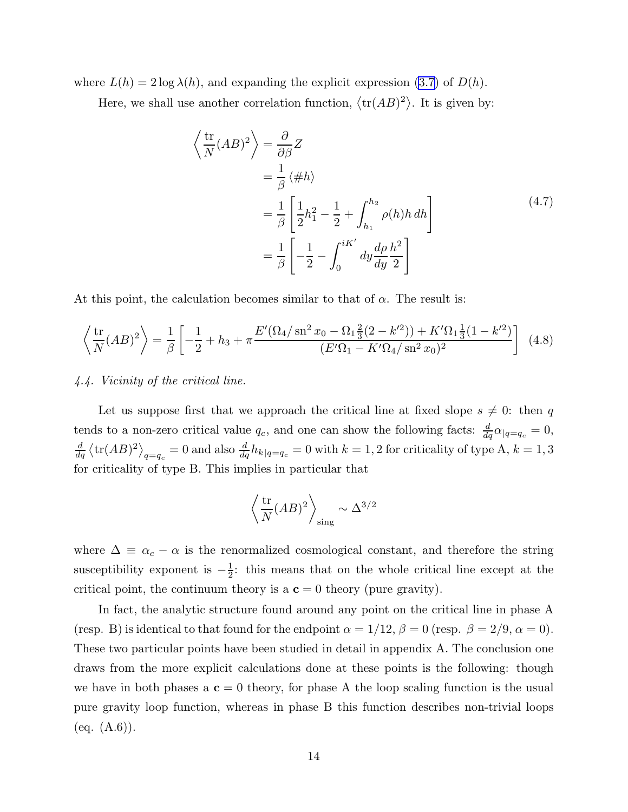<span id="page-14-0"></span>where  $L(h) = 2 \log \lambda(h)$ , and expanding the explicit expression [\(3.7\)](#page-9-0) of  $D(h)$ .

Here, we shall use another correlation function,  $\langle \text{tr}(AB)^2 \rangle$ . It is given by:

$$
\left\langle \frac{\text{tr}}{N} (AB)^2 \right\rangle = \frac{\partial}{\partial \beta} Z
$$
  
=  $\frac{1}{\beta} \left\langle \# h \right\rangle$   
=  $\frac{1}{\beta} \left[ \frac{1}{2} h_1^2 - \frac{1}{2} + \int_{h_1}^{h_2} \rho(h) h \, dh \right]$   
=  $\frac{1}{\beta} \left[ -\frac{1}{2} - \int_0^{iK'} dy \frac{d\rho}{dy} \frac{h^2}{2} \right]$  (4.7)

At this point, the calculation becomes similar to that of  $\alpha$ . The result is:

$$
\left\langle \frac{\text{tr}}{N}(AB)^2 \right\rangle = \frac{1}{\beta} \left[ -\frac{1}{2} + h_3 + \pi \frac{E'(\Omega_4/\text{sn}^2 x_0 - \Omega_1 \frac{2}{3}(2 - k'^2)) + K'\Omega_1 \frac{1}{3}(1 - k'^2)}{(E'\Omega_1 - K'\Omega_4/\text{sn}^2 x_0)^2} \right] \tag{4.8}
$$

## *4.4. Vicinity of the critical line.*

Let us suppose first that we approach the critical line at fixed slope  $s \neq 0$ : then q tends to a non-zero critical value  $q_c$ , and one can show the following facts:  $\frac{d}{dq}\alpha_{|q=q_c} = 0$ ,  $\frac{d}{dq}\left\langle\text{tr}(AB)^2\right\rangle_{q=q_c}=0$  and also  $\frac{d}{dq}h_{k|q=q_c}=0$  with  $k=1,2$  for criticality of type A,  $k=1,3$ for criticality of type B. This implies in particular that

$$
\left\langle \frac{\text{tr}}{N} (AB)^2 \right\rangle_{\text{sing}} \sim \Delta^{3/2}
$$

where  $\Delta \equiv \alpha_c - \alpha$  is the renormalized cosmological constant, and therefore the string susceptibility exponent is  $-\frac{1}{2}$  $\frac{1}{2}$ : this means that on the whole critical line except at the critical point, the continuum theory is a  $c = 0$  theory (pure gravity).

In fact, the analytic structure found around any point on the critical line in phase A (resp. B) is identical to that found for the endpoint  $\alpha = 1/12$ ,  $\beta = 0$  (resp.  $\beta = 2/9$ ,  $\alpha = 0$ ). These two particular points have been studied in detail in appendix A. The conclusion one draws from the more explicit calculations done at these points is the following: though we have in both phases a  $c = 0$  theory, for phase A the loop scaling function is the usual pure gravity loop function, whereas in phase B this function describes non-trivial loops  $(eq. (A.6)).$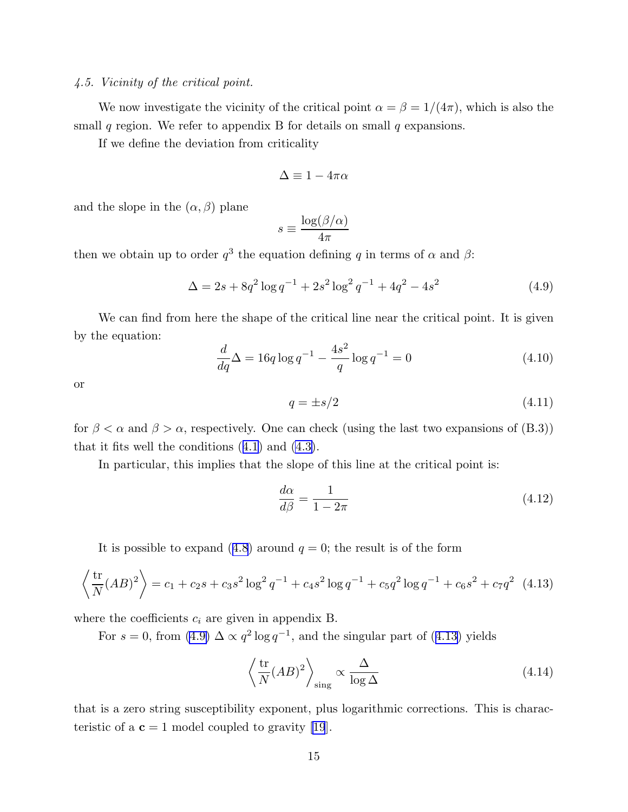#### <span id="page-15-0"></span>*4.5. Vicinity of the critical point.*

We now investigate the vicinity of the critical point  $\alpha = \beta = 1/(4\pi)$ , which is also the small q region. We refer to appendix B for details on small  $q$  expansions.

If we define the deviation from criticality

$$
\Delta \equiv 1 - 4\pi\alpha
$$

and the slope in the  $(\alpha, \beta)$  plane

$$
s \equiv \frac{\log(\beta/\alpha)}{4\pi}
$$

then we obtain up to order  $q^3$  the equation defining q in terms of  $\alpha$  and  $\beta$ :

$$
\Delta = 2s + 8q^2 \log q^{-1} + 2s^2 \log^2 q^{-1} + 4q^2 - 4s^2 \tag{4.9}
$$

We can find from here the shape of the critical line near the critical point. It is given by the equation:

$$
\frac{d}{dq}\Delta = 16q \log q^{-1} - \frac{4s^2}{q} \log q^{-1} = 0\tag{4.10}
$$

or

$$
q = \pm s/2 \tag{4.11}
$$

for  $\beta < \alpha$  and  $\beta > \alpha$ , respectively. One can check (using the last two expansions of (B.3)) that it fits well the conditions([4.1\)](#page-11-0) and [\(4.3\)](#page-11-0).

In particular, this implies that the slope of this line at the critical point is:

$$
\frac{d\alpha}{d\beta} = \frac{1}{1 - 2\pi} \tag{4.12}
$$

Itis possible to expand ([4.8](#page-14-0)) around  $q = 0$ ; the result is of the form

$$
\left\langle \frac{\text{tr}}{N} (AB)^2 \right\rangle = c_1 + c_2 s + c_3 s^2 \log^2 q^{-1} + c_4 s^2 \log q^{-1} + c_5 q^2 \log q^{-1} + c_6 s^2 + c_7 q^2 \tag{4.13}
$$

where the coefficients  $c_i$  are given in appendix B.

For  $s = 0$ , from  $(4.9) \Delta \propto q^2 \log q^{-1}$ , and the singular part of  $(4.13)$  yields

$$
\left\langle \frac{\text{tr}}{N} (AB)^2 \right\rangle_{\text{sing}} \propto \frac{\Delta}{\log \Delta} \tag{4.14}
$$

that is a zero string susceptibility exponent, plus logarithmic corrections. This is characteristic of a  $c = 1$  model coupled to gravity [\[19](#page-23-0)].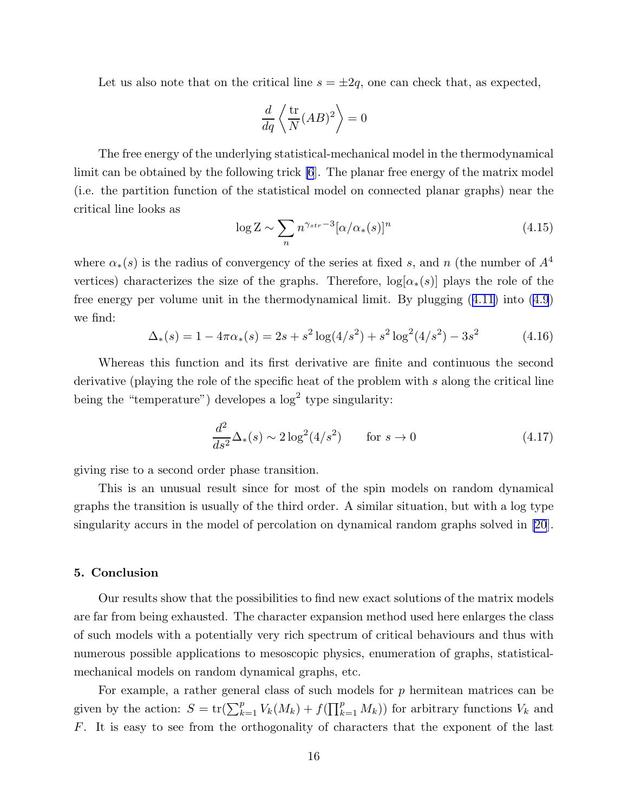Let us also note that on the critical line  $s = \pm 2q$ , one can check that, as expected,

$$
\frac{d}{dq}\left\langle\frac{\text{tr}}{N}(AB)^2\right\rangle = 0
$$

The free energy of the underlying statistical-mechanical model in the thermodynamical limit can be obtained by the following trick [\[6](#page-23-0)]. The planar free energy of the matrix model (i.e. the partition function of the statistical model on connected planar graphs) near the critical line looks as

$$
\log Z \sim \sum_{n} n^{\gamma_{str}-3} [\alpha/\alpha_*(s)]^n \tag{4.15}
$$

where  $\alpha_*(s)$  is the radius of convergency of the series at fixed s, and n (the number of  $A^4$ vertices) characterizes the size of the graphs. Therefore,  $log[\alpha_*(s)]$  plays the role of the free energy per volume unit in the thermodynamical limit. By plugging([4.11\)](#page-15-0) into [\(4.9](#page-15-0)) we find:

$$
\Delta_*(s) = 1 - 4\pi\alpha_*(s) = 2s + s^2 \log(4/s^2) + s^2 \log^2(4/s^2) - 3s^2 \tag{4.16}
$$

Whereas this function and its first derivative are finite and continuous the second derivative (playing the role of the specific heat of the problem with s along the critical line being the "temperature") developes a  $\log^2$  type singularity:

$$
\frac{d^2}{ds^2} \Delta_*(s) \sim 2\log^2(4/s^2) \qquad \text{for } s \to 0 \tag{4.17}
$$

giving rise to a second order phase transition.

This is an unusual result since for most of the spin models on random dynamical graphs the transition is usually of the third order. A similar situation, but with a log type singularity accurs in the model of percolation on dynamical random graphs solved in [\[20](#page-23-0)].

#### 5. Conclusion

Our results show that the possibilities to find new exact solutions of the matrix models are far from being exhausted. The character expansion method used here enlarges the class of such models with a potentially very rich spectrum of critical behaviours and thus with numerous possible applications to mesoscopic physics, enumeration of graphs, statisticalmechanical models on random dynamical graphs, etc.

For example, a rather general class of such models for  $p$  hermitean matrices can be given by the action:  $S = \text{tr}(\sum_{k=1}^p V_k(M_k) + f(\prod_{k=1}^p M_k))$  for arbitrary functions  $V_k$  and F. It is easy to see from the orthogonality of characters that the exponent of the last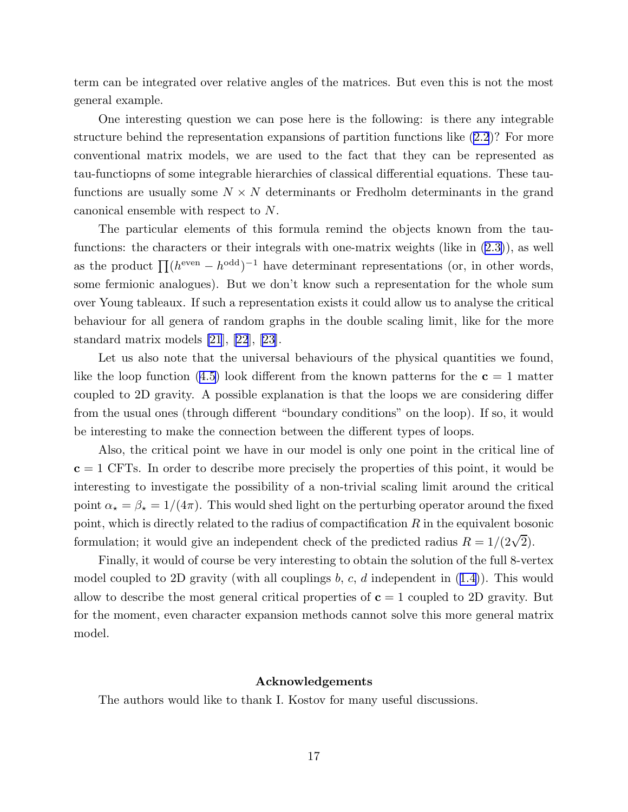term can be integrated over relative angles of the matrices. But even this is not the most general example.

One interesting question we can pose here is the following: is there any integrable structure behind the representation expansions of partition functions like([2.2](#page-5-0))? For more conventional matrix models, we are used to the fact that they can be represented as tau-functiopns of some integrable hierarchies of classical differential equations. These taufunctions are usually some  $N \times N$  determinants or Fredholm determinants in the grand canonical ensemble with respect to N.

The particular elements of this formula remind the objects known from the taufunctions: the characters or their integrals with one-matrix weights (like in [\(2.3\)](#page-5-0)), as well as the product  $\prod (h^{\text{even}} - h^{\text{odd}})^{-1}$  have determinant representations (or, in other words, some fermionic analogues). But we don't know such a representation for the whole sum over Young tableaux. If such a representation exists it could allow us to analyse the critical behaviour for all genera of random graphs in the double scaling limit, like for the more standard matrix models [\[21](#page-23-0)], [\[22](#page-23-0)], [\[23](#page-23-0)].

Let us also note that the universal behaviours of the physical quantities we found, likethe loop function ([4.5](#page-13-0)) look different from the known patterns for the  $c = 1$  matter coupled to 2D gravity. A possible explanation is that the loops we are considering differ from the usual ones (through different "boundary conditions" on the loop). If so, it would be interesting to make the connection between the different types of loops.

Also, the critical point we have in our model is only one point in the critical line of  $c = 1$  CFTs. In order to describe more precisely the properties of this point, it would be interesting to investigate the possibility of a non-trivial scaling limit around the critical point  $\alpha_{\star} = \beta_{\star} = 1/(4\pi)$ . This would shed light on the perturbing operator around the fixed point, which is directly related to the radius of compactification  $R$  in the equivalent bosonic formulation; it would give an independent check of the predicted radius  $R = 1/(2\sqrt{2})$ .

Finally, it would of course be very interesting to obtain the solution of the full 8-vertex modelcoupled to 2D gravity (with all couplings  $b, c, d$  independent in  $(1.4)$  $(1.4)$ ). This would allow to describe the most general critical properties of  $c = 1$  coupled to 2D gravity. But for the moment, even character expansion methods cannot solve this more general matrix model.

## Acknowledgements

The authors would like to thank I. Kostov for many useful discussions.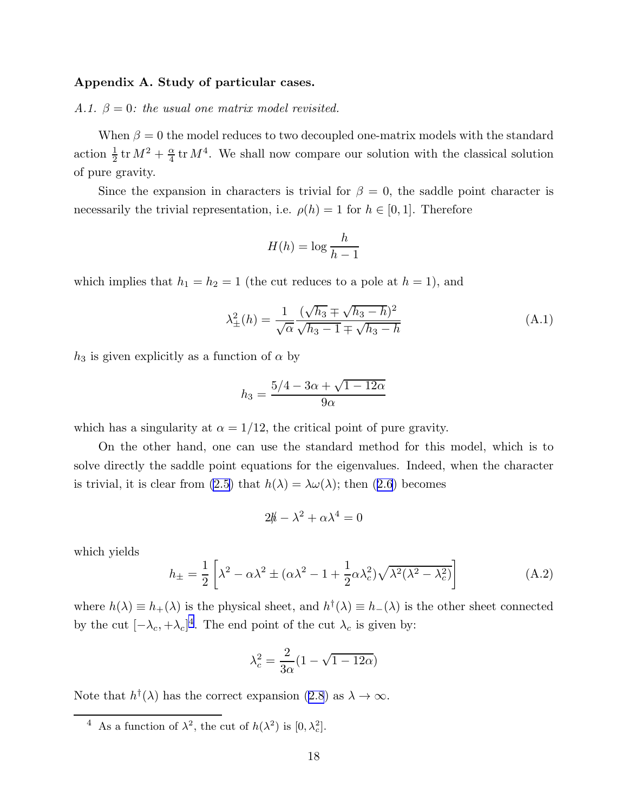#### <span id="page-18-0"></span>Appendix A. Study of particular cases.

*A.1.*  $\beta = 0$ : the usual one matrix model revisited.

When  $\beta = 0$  the model reduces to two decoupled one-matrix models with the standard action  $\frac{1}{2}$ tr  $M^2 + \frac{\alpha}{4}$  $\frac{\alpha}{4}$  tr  $M^4$ . We shall now compare our solution with the classical solution of pure gravity.

Since the expansion in characters is trivial for  $\beta = 0$ , the saddle point character is necessarily the trivial representation, i.e.  $\rho(h) = 1$  for  $h \in [0, 1]$ . Therefore

$$
H(h) = \log \frac{h}{h-1}
$$

which implies that  $h_1 = h_2 = 1$  (the cut reduces to a pole at  $h = 1$ ), and

$$
\lambda_{\pm}^{2}(h) = \frac{1}{\sqrt{\alpha}} \frac{(\sqrt{h_3} \pm \sqrt{h_3 - h})^2}{\sqrt{h_3 - 1} \mp \sqrt{h_3 - h}}
$$
(A.1)

 $h_3$  is given explicitly as a function of  $\alpha$  by

$$
h_3 = \frac{5/4 - 3\alpha + \sqrt{1 - 12\alpha}}{9\alpha}
$$

which has a singularity at  $\alpha = 1/12$ , the critical point of pure gravity.

On the other hand, one can use the standard method for this model, which is to solve directly the saddle point equations for the eigenvalues. Indeed, when the character is trivial, it is clear from [\(2.5\)](#page-6-0)that  $h(\lambda) = \lambda \omega(\lambda)$ ; then ([2.6](#page-6-0)) becomes

$$
2\hbar - \lambda^2 + \alpha \lambda^4 = 0
$$

which yields

$$
h_{\pm} = \frac{1}{2} \left[ \lambda^2 - \alpha \lambda^2 \pm (\alpha \lambda^2 - 1 + \frac{1}{2} \alpha \lambda_c^2) \sqrt{\lambda^2 (\lambda^2 - \lambda_c^2)} \right]
$$
(A.2)

where  $h(\lambda) \equiv h_+(\lambda)$  is the physical sheet, and  $h^{\dagger}(\lambda) \equiv h_-(\lambda)$  is the other sheet connected by the cut  $[-\lambda_c, +\lambda_c]^4$ . The end point of the cut  $\lambda_c$  is given by:

$$
\lambda_c^2 = \frac{2}{3\alpha} (1 - \sqrt{1 - 12\alpha})
$$

Notethat  $h^{\dagger}(\lambda)$  has the correct expansion  $(2.8)$  $(2.8)$  $(2.8)$  as  $\lambda \to \infty$ .

<sup>&</sup>lt;sup>4</sup> As a function of  $\lambda^2$ , the cut of  $h(\lambda^2)$  is  $[0, \lambda_c^2]$ .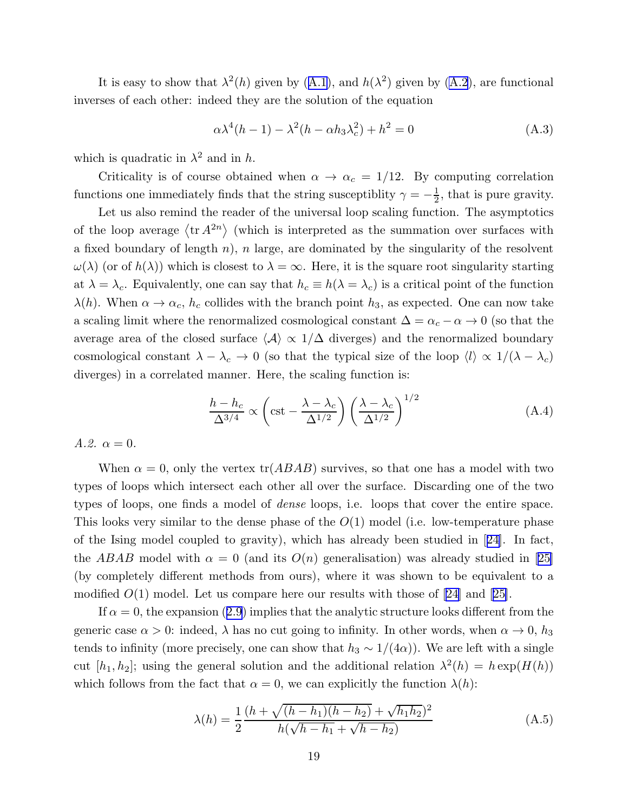Itis easy to show that  $\lambda^2(h)$  given by  $(A.1)$  $(A.1)$ , and  $h(\lambda^2)$  given by  $(A.2)$ , are functional inverses of each other: indeed they are the solution of the equation

$$
\alpha \lambda^4 (h-1) - \lambda^2 (h - \alpha h_3 \lambda_c^2) + h^2 = 0 \tag{A.3}
$$

which is quadratic in  $\lambda^2$  and in h.

Criticality is of course obtained when  $\alpha \to \alpha_c = 1/12$ . By computing correlation functions one immediately finds that the string susceptiblity  $\gamma = -\frac{1}{2}$  $\frac{1}{2}$ , that is pure gravity.

Let us also remind the reader of the universal loop scaling function. The asymptotics of the loop average  $\langle \text{tr } A^{2n} \rangle$  (which is interpreted as the summation over surfaces with a fixed boundary of length  $n$ ), n large, are dominated by the singularity of the resolvent  $\omega(\lambda)$  (or of  $h(\lambda)$ ) which is closest to  $\lambda = \infty$ . Here, it is the square root singularity starting at  $\lambda = \lambda_c$ . Equivalently, one can say that  $h_c \equiv h(\lambda = \lambda_c)$  is a critical point of the function  $\lambda(h)$ . When  $\alpha \to \alpha_c$ ,  $h_c$  collides with the branch point  $h_3$ , as expected. One can now take a scaling limit where the renormalized cosmological constant  $\Delta = \alpha_c - \alpha \rightarrow 0$  (so that the average area of the closed surface  $\langle A \rangle \propto 1/\Delta$  diverges) and the renormalized boundary cosmological constant  $\lambda - \lambda_c \to 0$  (so that the typical size of the loop  $\langle l \rangle \propto 1/(\lambda - \lambda_c)$ diverges) in a correlated manner. Here, the scaling function is:

$$
\frac{h - h_c}{\Delta^{3/4}} \propto \left( \text{cst} - \frac{\lambda - \lambda_c}{\Delta^{1/2}} \right) \left( \frac{\lambda - \lambda_c}{\Delta^{1/2}} \right)^{1/2} \tag{A.4}
$$

*A.2.*  $\alpha = 0$ *.* 

When  $\alpha = 0$ , only the vertex tr(*ABAB*) survives, so that one has a model with two types of loops which intersect each other all over the surface. Discarding one of the two types of loops, one finds a model of *dense* loops, i.e. loops that cover the entire space. This looks very similar to the dense phase of the  $O(1)$  model (i.e. low-temperature phase of the Ising model coupled to gravity), which has already been studied in[[24\]](#page-23-0). In fact, theABAB model with  $\alpha = 0$  (and its  $O(n)$  generalisation) was already studied in [[25\]](#page-23-0) (by completely different methods from ours), where it was shown to be equivalent to a modified $O(1)$  model. Let us compare here our results with those of [\[24](#page-23-0)] and [[25\]](#page-23-0).

If $\alpha = 0$ , the expansion ([2.9](#page-7-0)) implies that the analytic structure looks different from the generic case  $\alpha > 0$ : indeed,  $\lambda$  has no cut going to infinity. In other words, when  $\alpha \to 0$ ,  $h_3$ tends to infinity (more precisely, one can show that  $h_3 \sim 1/(4\alpha)$ ). We are left with a single cut  $[h_1, h_2]$ ; using the general solution and the additional relation  $\lambda^2(h) = h \exp(H(h))$ which follows from the fact that  $\alpha = 0$ , we can explicitly the function  $\lambda(h)$ :

$$
\lambda(h) = \frac{1}{2} \frac{(h + \sqrt{(h - h_1)(h - h_2)} + \sqrt{h_1 h_2})^2}{h(\sqrt{h - h_1} + \sqrt{h - h_2})}
$$
(A.5)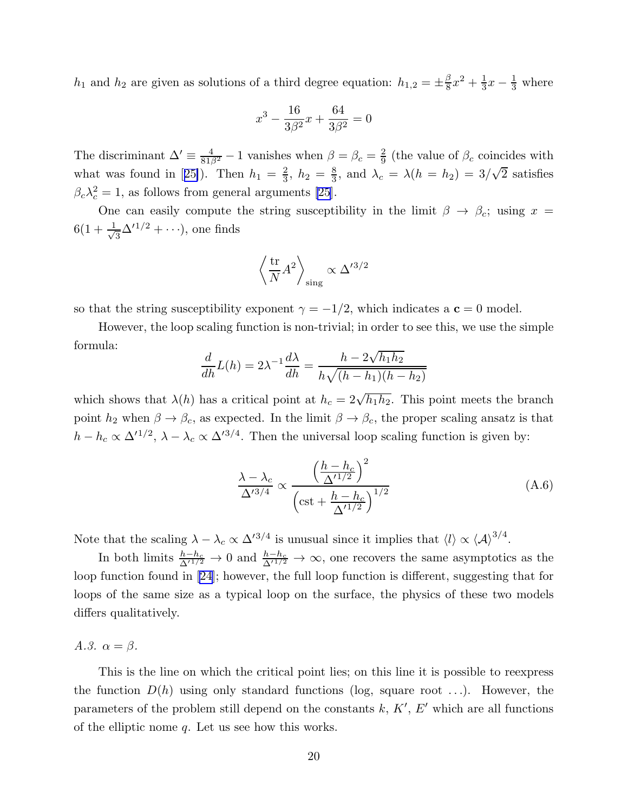$h_1$  and  $h_2$  are given as solutions of a third degree equation:  $h_{1,2} = \pm \frac{\beta}{8}$  $\frac{\beta}{8}x^2 + \frac{1}{3}$  $\frac{1}{3}x - \frac{1}{3}$  where

$$
x^3 - \frac{16}{3\beta^2}x + \frac{64}{3\beta^2} = 0
$$

The discriminant  $\Delta' \equiv \frac{4}{81\beta^2} - 1$  vanishes when  $\beta = \beta_c = \frac{2}{9}$  $\frac{2}{9}$  (the value of  $\beta_c$  coincides with whatwas found in [[25\]](#page-23-0)). Then  $h_1 = \frac{2}{3}$  $\frac{2}{3}$ ,  $h_2 = \frac{8}{3}$  $\frac{8}{3}$ , and  $\lambda_c = \lambda(h = h_2) = 3/\sqrt{2}$  satisfies  $\beta_c \lambda_c^2 = 1$ , as follows from general arguments [\[25](#page-23-0)].

One can easily compute the string susceptibility in the limit  $\beta \to \beta_c$ ; using  $x =$  $6(1+\frac{1}{\sqrt{2}})$  $\frac{1}{3}\Delta'^{1/2}+\cdots$ , one finds

$$
\left\langle \frac{\text{tr}}{N} A^2 \right\rangle_{\text{sing}} \propto \Delta^{\prime 3/2}
$$

so that the string susceptibility exponent  $\gamma = -1/2$ , which indicates a  $\mathbf{c} = 0$  model.

However, the loop scaling function is non-trivial; in order to see this, we use the simple formula:

$$
\frac{d}{dh}L(h) = 2\lambda^{-1}\frac{d\lambda}{dh} = \frac{h - 2\sqrt{h_1h_2}}{h\sqrt{(h - h_1)(h - h_2)}}
$$

which shows that  $\lambda(h)$  has a critical point at  $h_c = 2\sqrt{h_1 h_2}$ . This point meets the branch point  $h_2$  when  $\beta \to \beta_c$ , as expected. In the limit  $\beta \to \beta_c$ , the proper scaling ansatz is that  $h - h_c \propto \Delta^{1/2}$ ,  $\lambda - \lambda_c \propto \Delta^{3/4}$ . Then the universal loop scaling function is given by:

$$
\frac{\lambda - \lambda_c}{\Delta'^{3/4}} \propto \frac{\left(\frac{h - h_c}{\Delta'^{1/2}}\right)^2}{\left(\text{cst} + \frac{h - h_c}{\Delta'^{1/2}}\right)^{1/2}}
$$
(A.6)

Note that the scaling  $\lambda - \lambda_c \propto \Delta'^{3/4}$  is unusual since it implies that  $\langle l \rangle \propto {\langle A \rangle}^{3/4}$ .

In both limits  $\frac{h-h_c}{\Delta^{1/2}} \to 0$  and  $\frac{h-h_c}{\Delta^{1/2}} \to \infty$ , one recovers the same asymptotics as the loop function found in[[24](#page-23-0)]; however, the full loop function is different, suggesting that for loops of the same size as a typical loop on the surface, the physics of these two models differs qualitatively.

*A.3.*  $\alpha = \beta$ .

This is the line on which the critical point lies; on this line it is possible to reexpress the function  $D(h)$  using only standard functions (log, square root ...). However, the parameters of the problem still depend on the constants  $k, K', E'$  which are all functions of the elliptic nome  $q$ . Let us see how this works.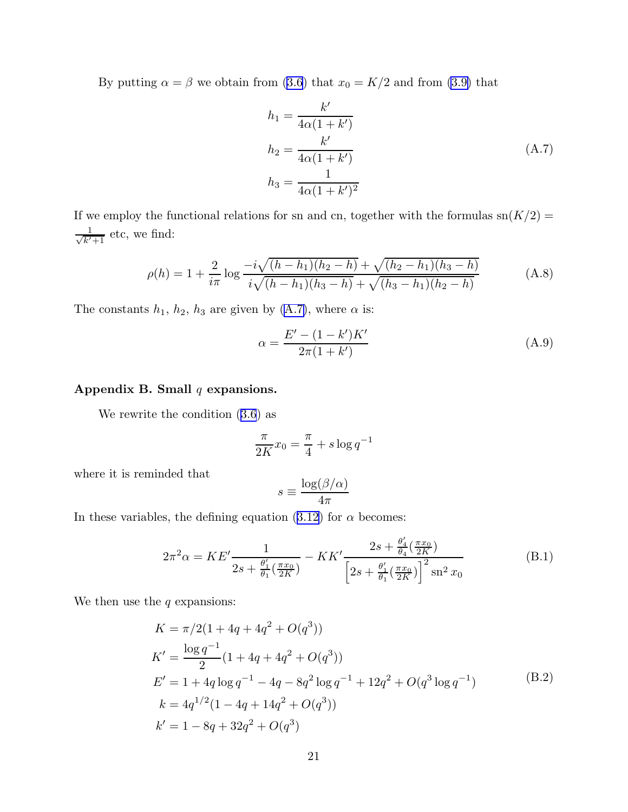Byputting  $\alpha = \beta$  we obtain from ([3.6](#page-9-0)) that  $x_0 = K/2$  and from [\(3.9\)](#page-9-0) that

$$
h_1 = \frac{k'}{4\alpha(1+k')}
$$
  
\n
$$
h_2 = \frac{k'}{4\alpha(1+k')}
$$
  
\n
$$
h_3 = \frac{1}{4\alpha(1+k')^2}
$$
\n(A.7)

If we employ the functional relations for sn and cn, together with the formulas  $\operatorname{sn}(K/2)$  =  $\frac{1}{\sqrt{k'+1}}$  etc, we find:

$$
\rho(h) = 1 + \frac{2}{i\pi} \log \frac{-i\sqrt{(h - h_1)(h_2 - h)} + \sqrt{(h_2 - h_1)(h_3 - h)}}{i\sqrt{(h - h_1)(h_3 - h)} + \sqrt{(h_3 - h_1)(h_2 - h)}}
$$
(A.8)

The constants  $h_1$ ,  $h_2$ ,  $h_3$  are given by (A.7), where  $\alpha$  is:

$$
\alpha = \frac{E' - (1 - k')K'}{2\pi(1 + k')}\tag{A.9}
$$

## Appendix B. Small  $q$  expansions.

We rewrite the condition([3.6](#page-9-0)) as

$$
\frac{\pi}{2K}x_0 = \frac{\pi}{4} + s\log q^{-1}
$$

where it is reminded that

$$
s \equiv \frac{\log(\beta/\alpha)}{4\pi}
$$

Inthese variables, the defining equation ([3.12](#page-10-0)) for  $\alpha$  becomes:

$$
2\pi^2 \alpha = KE' \frac{1}{2s + \frac{\theta_1'}{\theta_1}(\frac{\pi x_0}{2K})} - KK' \frac{2s + \frac{\theta_4'}{\theta_4}(\frac{\pi x_0}{2K})}{\left[2s + \frac{\theta_1'}{\theta_1}(\frac{\pi x_0}{2K})\right]^2 \text{sn}^2 x_0}
$$
(B.1)

We then use the  $q$  expansions:

$$
K = \pi/2(1 + 4q + 4q^{2} + O(q^{3}))
$$
  
\n
$$
K' = \frac{\log q^{-1}}{2}(1 + 4q + 4q^{2} + O(q^{3}))
$$
  
\n
$$
E' = 1 + 4q \log q^{-1} - 4q - 8q^{2} \log q^{-1} + 12q^{2} + O(q^{3} \log q^{-1})
$$
  
\n
$$
k = 4q^{1/2}(1 - 4q + 14q^{2} + O(q^{3}))
$$
  
\n
$$
k' = 1 - 8q + 32q^{2} + O(q^{3})
$$
\n(B.2)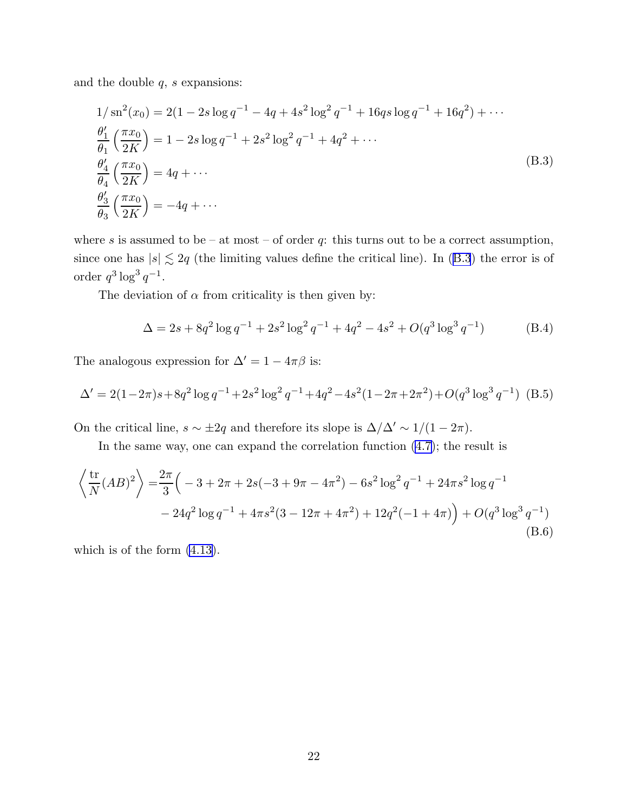and the double  $q$ ,  $s$  expansions:

$$
1/\operatorname{sn}^{2}(x_{0}) = 2(1 - 2s \log q^{-1} - 4q + 4s^{2} \log^{2} q^{-1} + 16qs \log q^{-1} + 16q^{2}) + \cdots
$$
  
\n
$$
\frac{\theta_{1}'}{\theta_{1}} \left(\frac{\pi x_{0}}{2K}\right) = 1 - 2s \log q^{-1} + 2s^{2} \log^{2} q^{-1} + 4q^{2} + \cdots
$$
  
\n
$$
\frac{\theta_{4}'}{\theta_{4}} \left(\frac{\pi x_{0}}{2K}\right) = 4q + \cdots
$$
  
\n
$$
\frac{\theta_{3}'}{\theta_{3}} \left(\frac{\pi x_{0}}{2K}\right) = -4q + \cdots
$$
\n(B.3)

where s is assumed to be – at most – of order q: this turns out to be a correct assumption, since one has  $|s| \lesssim 2q$  (the limiting values define the critical line). In (B.3) the error is of order  $q^3 \log^3 q^{-1}$ .

The deviation of  $\alpha$  from criticality is then given by:

$$
\Delta = 2s + 8q^2 \log q^{-1} + 2s^2 \log^2 q^{-1} + 4q^2 - 4s^2 + O(q^3 \log^3 q^{-1})
$$
 (B.4)

The analogous expression for  $\Delta'=1-4\pi\beta$  is:

$$
\Delta' = 2(1 - 2\pi)s + 8q^2 \log q^{-1} + 2s^2 \log^2 q^{-1} + 4q^2 - 4s^2(1 - 2\pi + 2\pi^2) + O(q^3 \log^3 q^{-1})
$$
 (B.5)

On the critical line,  $s \sim \pm 2q$  and therefore its slope is  $\Delta/\Delta' \sim 1/(1-2\pi)$ .

In the same way, one can expand the correlation function  $(4.7)$ ; the result is

$$
\left\langle \frac{\text{tr}}{N} (AB)^2 \right\rangle = \frac{2\pi}{3} \left( -3 + 2\pi + 2s(-3 + 9\pi - 4\pi^2) - 6s^2 \log^2 q^{-1} + 24\pi s^2 \log q^{-1} - 24q^2 \log q^{-1} + 4\pi s^2 (3 - 12\pi + 4\pi^2) + 12q^2 (-1 + 4\pi) \right) + O(q^3 \log^3 q^{-1})
$$
\n(B.6)

which is of the form [\(4.13\)](#page-15-0).